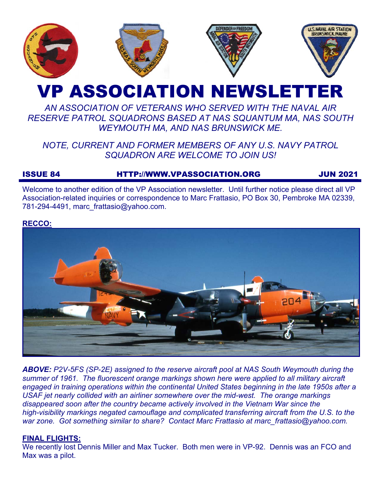

# VP ASSOCIATION NEWSLETTER

# *AN ASSOCIATION OF VETERANS WHO SERVED WITH THE NAVAL AIR RESERVE PATROL SQUADRONS BASED AT NAS SQUANTUM MA, NAS SOUTH WEYMOUTH MA, AND NAS BRUNSWICK ME.*

## *NOTE, CURRENT AND FORMER MEMBERS OF ANY U.S. NAVY PATROL SQUADRON ARE WELCOME TO JOIN US!*

## ISSUE 84 HTTP://WWW.VPASSOCIATION.ORG JUN 2021

Welcome to another edition of the VP Association newsletter. Until further notice please direct all VP Association-related inquiries or correspondence to Marc Frattasio, PO Box 30, Pembroke MA 02339, 781-294-4491, marc\_frattasio@yahoo.com.

## **RECCO:**



*ABOVE: P2V-5FS (SP-2E) assigned to the reserve aircraft pool at NAS South Weymouth during the summer of 1961. The fluorescent orange markings shown here were applied to all military aircraft engaged in training operations within the continental United States beginning in the late 1950s after a USAF jet nearly collided with an airliner somewhere over the mid-west. The orange markings disappeared soon after the country became actively involved in the Vietnam War since the high-visibility markings negated camouflage and complicated transferring aircraft from the U.S. to the war zone. Got something similar to share? Contact Marc Frattasio at marc\_frattasio@yahoo.com.* 

## **FINAL FLIGHTS:**

We recently lost Dennis Miller and Max Tucker. Both men were in VP-92. Dennis was an FCO and Max was a pilot.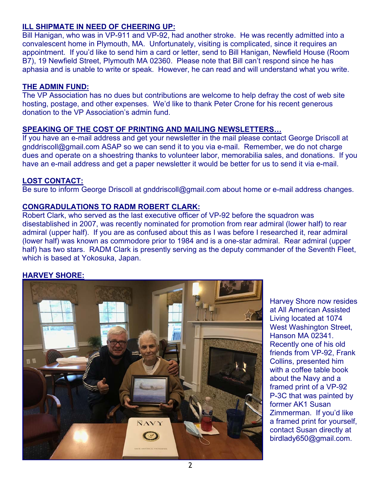## **ILL SHIPMATE IN NEED OF CHEERING UP:**

Bill Hanigan, who was in VP-911 and VP-92, had another stroke. He was recently admitted into a convalescent home in Plymouth, MA. Unfortunately, visiting is complicated, since it requires an appointment. If you'd like to send him a card or letter, send to Bill Hanigan, Newfield House (Room B7), 19 Newfield Street, Plymouth MA 02360. Please note that Bill can't respond since he has aphasia and is unable to write or speak. However, he can read and will understand what you write.

## **THE ADMIN FUND:**

The VP Association has no dues but contributions are welcome to help defray the cost of web site hosting, postage, and other expenses. We'd like to thank Peter Crone for his recent generous donation to the VP Association's admin fund.

## **SPEAKING OF THE COST OF PRINTING AND MAILING NEWSLETTERS…**

If you have an e-mail address and get your newsletter in the mail please contact George Driscoll at gnddriscoll@gmail.com ASAP so we can send it to you via e-mail. Remember, we do not charge dues and operate on a shoestring thanks to volunteer labor, memorabilia sales, and donations. If you have an e-mail address and get a paper newsletter it would be better for us to send it via e-mail.

## **LOST CONTACT:**

Be sure to inform George Driscoll at gnddriscoll@gmail.com about home or e-mail address changes.

## **CONGRADULATIONS TO RADM ROBERT CLARK:**

Robert Clark, who served as the last executive officer of VP-92 before the squadron was disestablished in 2007, was recently nominated for promotion from rear admiral (lower half) to rear admiral (upper half). If you are as confused about this as I was before I researched it, rear admiral (lower half) was known as commodore prior to 1984 and is a one-star admiral. Rear admiral (upper half) has two stars. RADM Clark is presently serving as the deputy commander of the Seventh Fleet, which is based at Yokosuka, Japan.

## **HARVEY SHORE:**



Harvey Shore now resides at All American Assisted Living located at 1074 West Washington Street, Hanson MA 02341. Recently one of his old friends from VP-92, Frank Collins, presented him with a coffee table book about the Navy and a framed print of a VP-92 P-3C that was painted by former AK1 Susan Zimmerman. If you'd like a framed print for yourself, contact Susan directly at birdlady650@gmail.com.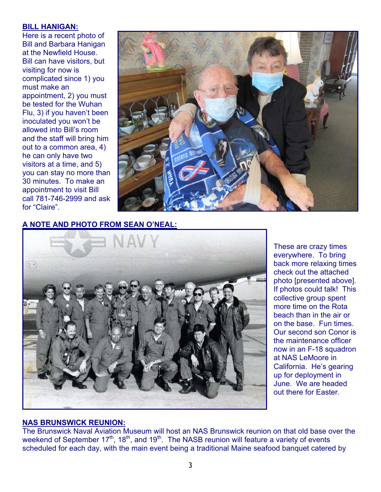## **BILL HANIGAN:**

Here is a recent photo of Bill and Barbara Hanigan at the Newfield House. Bill can have visitors, but visiting for now is complicated since 1) you must make an appointment, 2) you must be tested for the Wuhan Flu, 3) if you haven't been inoculated you won't be allowed into Bill's room and the staff will bring him out to a common area, 4) he can only have two visitors at a time, and 5) you can stay no more than 30 minutes. To make an appointment to visit Bill call 781-746-2999 and ask for "Claire".



**A NOTE AND PHOTO FROM SEAN O'NEAL:**



These are crazy times everywhere. To bring back more relaxing times check out the attached photo [presented above]. If photos could talk! This collective group spent more time on the Rota beach than in the air or on the base. Fun times. Our second son Conor is the maintenance officer now in an F-18 squadron at NAS LeMoore in California. He's gearing up for deployment in June. We are headed out there for Easter*.*

## **NAS BRUNSWICK REUNION:**

The Brunswick Naval Aviation Museum will host an NAS Brunswick reunion on that old base over the weekend of September  $17<sup>th</sup>$ ,  $18<sup>th</sup>$ , and  $19<sup>th</sup>$ . The NASB reunion will feature a variety of events scheduled for each day, with the main event being a traditional Maine seafood banquet catered by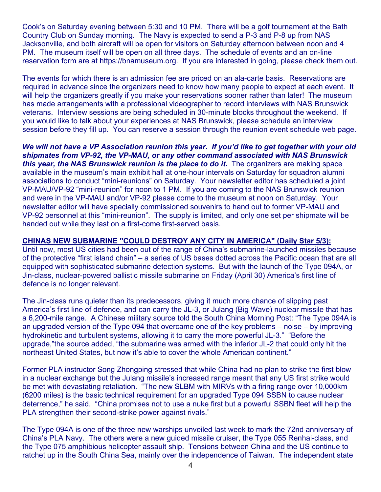Cook's on Saturday evening between 5:30 and 10 PM. There will be a golf tournament at the Bath Country Club on Sunday morning. The Navy is expected to send a P-3 and P-8 up from NAS Jacksonville, and both aircraft will be open for visitors on Saturday afternoon between noon and 4 PM. The museum itself will be open on all three days. The schedule of events and an on-line reservation form are at https://bnamuseum.org. If you are interested in going, please check them out.

The events for which there is an admission fee are priced on an ala-carte basis. Reservations are required in advance since the organizers need to know how many people to expect at each event. It will help the organizers greatly if you make your reservations sooner rather than later! The museum has made arrangements with a professional videographer to record interviews with NAS Brunswick veterans. Interview sessions are being scheduled in 30-minute blocks throughout the weekend. If you would like to talk about your experiences at NAS Brunswick, please schedule an interview session before they fill up. You can reserve a session through the reunion event schedule web page.

*We will not have a VP Association reunion this year. If you'd like to get together with your old shipmates from VP-92, the VP-MAU, or any other command associated with NAS Brunswick this year, the NAS Brunswick reunion is the place to do it.* The organizers are making space available in the museum's main exhibit hall at one-hour intervals on Saturday for squadron alumni associations to conduct "mini-reunions" on Saturday. Your newsletter editor has scheduled a joint VP-MAU/VP-92 "mini-reunion" for noon to 1 PM. If you are coming to the NAS Brunswick reunion and were in the VP-MAU and/or VP-92 please come to the museum at noon on Saturday. Your newsletter editor will have specially commissioned souvenirs to hand out to former VP-MAU and VP-92 personnel at this "mini-reunion". The supply is limited, and only one set per shipmate will be handed out while they last on a first-come first-served basis.

## **CHINAS NEW SUBMARINE "COULD DESTROY ANY CITY IN AMERICA" (Daily Star 5/3):**

Until now, most US cities had been out of the range of China's submarine-launched missiles because of the protective "first island chain" – a series of US bases dotted across the Pacific ocean that are all equipped with sophisticated submarine detection systems. But with the launch of the Type 094A, or Jin-class, nuclear-powered ballistic missile submarine on Friday (April 30) America's first line of defence is no longer relevant.

The Jin-class runs quieter than its predecessors, giving it much more chance of slipping past America's first line of defence, and can carry the JL-3, or Julang (Big Wave) nuclear missile that has a 6,200-mile range. A Chinese military source told the South China Morning Post: "The Type 094A is an upgraded version of the Type 094 that overcame one of the key problems – noise – by improving hydrokinetic and turbulent systems, allowing it to carry the more powerful JL-3." "Before the upgrade,"the source added, "the submarine was armed with the inferior JL-2 that could only hit the northeast United States, but now it's able to cover the whole American continent."

Former PLA instructor Song Zhongping stressed that while China had no plan to strike the first blow in a nuclear exchange but the Julang missile's increased range meant that any US first strike would be met with devastating retaliation. "The new SLBM with MIRVs with a firing range over 10,000km (6200 miles) is the basic technical requirement for an upgraded Type 094 SSBN to cause nuclear deterrence," he said. "China promises not to use a nuke first but a powerful SSBN fleet will help the PLA strengthen their second-strike power against rivals."

The Type 094A is one of the three new warships unveiled last week to mark the 72nd anniversary of China's PLA Navy. The others were a new guided missile cruiser, the Type 055 Renhai-class, and the Type 075 amphibious helicopter assault ship. Tensions between China and the US continue to ratchet up in the South China Sea, mainly over the independence of Taiwan. The independent state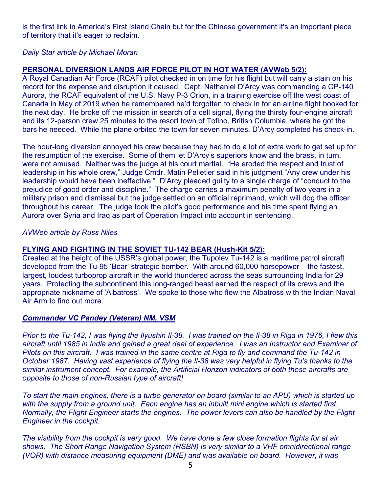is the first link in America's First Island Chain but for the Chinese government it's an important piece of territory that it's eager to reclaim.

## *Daily Star article by Michael Moran*

## **PERSONAL DIVERSION LANDS AIR FORCE PILOT IN HOT WATER (AVWeb 5/2):**

A Royal Canadian Air Force (RCAF) pilot checked in on time for his flight but will carry a stain on his record for the expense and disruption it caused. Capt. Nathaniel D'Arcy was commanding a CP-140 Aurora, the RCAF equivalent of the U.S. Navy P-3 Orion, in a training exercise off the west coast of Canada in May of 2019 when he remembered he'd forgotten to check in for an airline flight booked for the next day. He broke off the mission in search of a cell signal, flying the thirsty four-engine aircraft and its 12-person crew 25 minutes to the resort town of Tofino, British Columbia, where he got the bars he needed. While the plane orbited the town for seven minutes, D'Arcy completed his check-in.

The hour-long diversion annoyed his crew because they had to do a lot of extra work to get set up for the resumption of the exercise. Some of them let D'Arcy's superiors know and the brass, in turn, were not amused. Neither was the judge at his court martial. "He eroded the respect and trust of leadership in his whole crew," Judge Cmdr. Matin Pelletier said in his judgment "Any crew under his leadership would have been ineffective." D'Arcy pleaded guilty to a single charge of "conduct to the prejudice of good order and discipline." The charge carries a maximum penalty of two years in a military prison and dismissal but the judge settled on an official reprimand, which will dog the officer throughout his career. The judge took the pilot's good performance and his time spent flying an Aurora over Syria and Iraq as part of Operation Impact into account in sentencing.

## *AVWeb article by Russ Niles*

## **FLYING AND FIGHTING IN THE SOVIET TU-142 BEAR (Hush-Kit 5/2):**

Created at the height of the USSR's global power, the Tupolev Tu-142 is a maritime patrol aircraft developed from the Tu-95 'Bear' strategic bomber. With around 60,000 horsepower – the fastest, largest, loudest turboprop aircraft in the world thundered across the seas surrounding India for 29 years. Protecting the subcontinent this long-ranged beast earned the respect of its crews and the appropriate nickname of 'Albatross'. We spoke to those who flew the Albatross with the Indian Naval Air Arm to find out more.

## *Commander VC Pandey (Veteran) NM, VSM*

*Prior to the Tu-142, I was flying the Ilyushin Il-38. I was trained on the Il-38 in Riga in 1976, I flew this aircraft until 1985 in India and gained a great deal of experience. I was an Instructor and Examiner of Pilots on this aircraft. I was trained in the same centre at Riga to fly and command the Tu-142 in October 1987. Having vast experience of flying the Il-38 was very helpful in flying Tu's thanks to the similar instrument concept. For example, the Artificial Horizon indicators of both these aircrafts are opposite to those of non-Russian type of aircraft!* 

*To start the main engines, there is a turbo generator on board (similar to an APU) which is started up with the supply from a ground unit. Each engine has an inbuilt mini engine which is started first. Normally, the Flight Engineer starts the engines. The power levers can also be handled by the Flight Engineer in the cockpit.* 

*The visibility from the cockpit is very good. We have done a few close formation flights for at air shows. The Short Range Navigation System (RSBN) is very similar to a VHF omnidirectional range (VOR) with distance measuring equipment (DME) and was available on board. However, it was*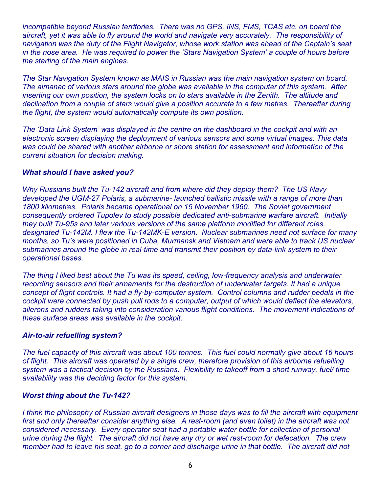*incompatible beyond Russian territories. There was no GPS, INS, FMS, TCAS etc. on board the aircraft, yet it was able to fly around the world and navigate very accurately. The responsibility of navigation was the duty of the Flight Navigator, whose work station was ahead of the Captain's seat in the nose area. He was required to power the 'Stars Navigation System' a couple of hours before the starting of the main engines.* 

*The Star Navigation System known as MAIS in Russian was the main navigation system on board. The almanac of various stars around the globe was available in the computer of this system. After inserting our own position, the system locks on to stars available in the Zenith. The altitude and declination from a couple of stars would give a position accurate to a few metres. Thereafter during the flight, the system would automatically compute its own position.* 

*The 'Data Link System' was displayed in the centre on the dashboard in the cockpit and with an electronic screen displaying the deployment of various sensors and some virtual images. This data was could be shared with another airborne or shore station for assessment and information of the current situation for decision making.* 

#### *What should I have asked you?*

*Why Russians built the Tu-142 aircraft and from where did they deploy them? The US Navy developed the UGM-27 Polaris, a submarine- launched ballistic missile with a range of more than 1800 kilometres. Polaris became operational on 15 November 1960. The Soviet government consequently ordered Tupolev to study possible dedicated anti-submarine warfare aircraft. Initially they built Tu-95s and later various versions of the same platform modified for different roles, designated Tu-142M. I flew the Tu-142MK-E version. Nuclear submarines need not surface for many months, so Tu's were positioned in Cuba, Murmansk and Vietnam and were able to track US nuclear submarines around the globe in real-time and transmit their position by data-link system to their operational bases.* 

*The thing I liked best about the Tu was its speed, ceiling, low-frequency analysis and underwater recording sensors and their armaments for the destruction of underwater targets. It had a unique concept of flight controls. It had a fly-by-computer system. Control columns and rudder pedals in the cockpit were connected by push pull rods to a computer, output of which would deflect the elevators, ailerons and rudders taking into consideration various flight conditions. The movement indications of these surface areas was available in the cockpit.* 

#### *Air-to-air refuelling system?*

*The fuel capacity of this aircraft was about 100 tonnes. This fuel could normally give about 16 hours of flight. This aircraft was operated by a single crew, therefore provision of this airborne refuelling system was a tactical decision by the Russians. Flexibility to takeoff from a short runway, fuel/ time availability was the deciding factor for this system.* 

#### *Worst thing about the Tu-142?*

*I think the philosophy of Russian aircraft designers in those days was to fill the aircraft with equipment first and only thereafter consider anything else. A rest-room (and even toilet) in the aircraft was not considered necessary. Every operator seat had a portable water bottle for collection of personal urine during the flight. The aircraft did not have any dry or wet rest-room for defecation. The crew member had to leave his seat, go to a corner and discharge urine in that bottle. The aircraft did not*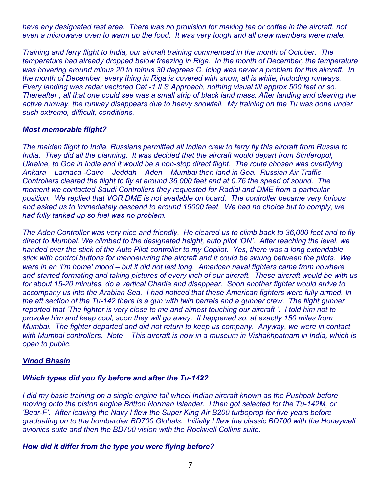have any designated rest area. There was no provision for making tea or coffee in the aircraft, not *even a microwave oven to warm up the food. It was very tough and all crew members were male.* 

*Training and ferry flight to India, our aircraft training commenced in the month of October. The temperature had already dropped below freezing in Riga. In the month of December, the temperature was hovering around minus 20 to minus 30 degrees C. Icing was never a problem for this aircraft. In the month of December, every thing in Riga is covered with snow, all is white, including runways. Every landing was radar vectored Cat -1 ILS Approach, nothing visual till approx 500 feet or so. Thereafter , all that one could see was a small strip of black land mass. After landing and clearing the active runway, the runway disappears due to heavy snowfall. My training on the Tu was done under such extreme, difficult, conditions.* 

#### *Most memorable flight?*

*The maiden flight to India, Russians permitted all Indian crew to ferry fly this aircraft from Russia to India. They did all the planning. It was decided that the aircraft would depart from Simferopol, Ukraine, to Goa in India and it would be a non-stop direct flight. The route chosen was overflying Ankara – Larnaca -Cairo – Jeddah – Aden – Mumbai then land in Goa. Russian Air Traffic Controllers cleared the flight to fly at around 36,000 feet and at 0.76 the speed of sound. The moment we contacted Saudi Controllers they requested for Radial and DME from a particular position. We replied that VOR DME is not available on board. The controller became very furious and asked us to immediately descend to around 15000 feet. We had no choice but to comply, we had fully tanked up so fuel was no problem.* 

*The Aden Controller was very nice and friendly. He cleared us to climb back to 36,000 feet and to fly direct to Mumbai. We climbed to the designated height, auto pilot 'ON'. After reaching the level, we handed over the stick of the Auto Pilot controller to my Copilot. Yes, there was a long extendable stick with control buttons for manoeuvring the aircraft and it could be swung between the pilots. We were in an 'I'm home' mood – but it did not last long. American naval fighters came from nowhere and started formating and taking pictures of every inch of our aircraft. These aircraft would be with us for about 15-20 minutes, do a vertical Charlie and disappear. Soon another fighter would arrive to accompany us into the Arabian Sea. I had noticed that these American fighters were fully armed. In the aft section of the Tu-142 there is a gun with twin barrels and a gunner crew. The flight gunner reported that 'The fighter is very close to me and almost touching our aircraft '. I told him not to provoke him and keep cool, soon they will go away. It happened so, at exactly 150 miles from Mumbai. The fighter departed and did not return to keep us company. Anyway, we were in contact with Mumbai controllers. Note – This aircraft is now in a museum in Vishakhpatnam in India, which is open to public.* 

## *Vinod Bhasin*

#### *Which types did you fly before and after the Tu-142?*

*I did my basic training on a single engine tail wheel Indian aircraft known as the Pushpak before moving onto the piston engine Britton Norman Islander. I then got selected for the Tu-142M, or 'Bear-F'. After leaving the Navy I flew the Super King Air B200 turboprop for five years before graduating on to the bombardier BD700 Globals. Initially I flew the classic BD700 with the Honeywell avionics suite and then the BD700 vision with the Rockwell Collins suite.* 

#### *How did it differ from the type you were flying before?*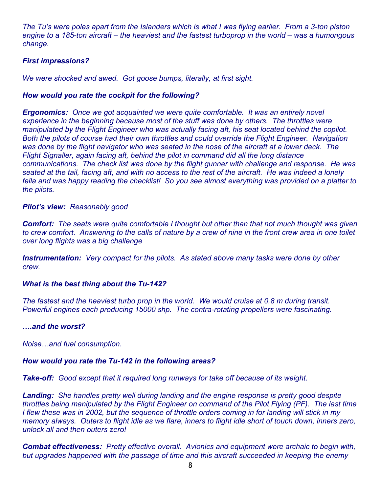*The Tu's were poles apart from the Islanders which is what I was flying earlier. From a 3-ton piston engine to a 185-ton aircraft – the heaviest and the fastest turboprop in the world – was a humongous change.* 

#### *First impressions?*

*We were shocked and awed. Got goose bumps, literally, at first sight.* 

#### *How would you rate the cockpit for the following?*

*Ergonomics: Once we got acquainted we were quite comfortable. It was an entirely novel experience in the beginning because most of the stuff was done by others. The throttles were manipulated by the Flight Engineer who was actually facing aft, his seat located behind the copilot. Both the pilots of course had their own throttles and could override the Flight Engineer. Navigation*  was done by the flight navigator who was seated in the nose of the aircraft at a lower deck. The *Flight Signaller, again facing aft, behind the pilot in command did all the long distance communications. The check list was done by the flight gunner with challenge and response. He was seated at the tail, facing aft, and with no access to the rest of the aircraft. He was indeed a lonely fella and was happy reading the checklist! So you see almost everything was provided on a platter to the pilots.* 

#### *Pilot's view: Reasonably good*

*Comfort: The seats were quite comfortable I thought but other than that not much thought was given to crew comfort. Answering to the calls of nature by a crew of nine in the front crew area in one toilet over long flights was a big challenge*

*Instrumentation: Very compact for the pilots. As stated above many tasks were done by other crew.* 

#### *What is the best thing about the Tu-142?*

*The fastest and the heaviest turbo prop in the world. We would cruise at 0.8 m during transit. Powerful engines each producing 15000 shp. The contra-rotating propellers were fascinating.* 

#### *….and the worst?*

*Noise…and fuel consumption.* 

#### *How would you rate the Tu-142 in the following areas?*

*Take-off: Good except that it required long runways for take off because of its weight.* 

*Landing: She handles pretty well during landing and the engine response is pretty good despite throttles being manipulated by the Flight Engineer on command of the Pilot Flying (PF). The last time I flew these was in 2002, but the sequence of throttle orders coming in for landing will stick in my memory always. Outers to flight idle as we flare, inners to flight idle short of touch down, inners zero, unlock all and then outers zero!* 

*Combat effectiveness: Pretty effective overall. Avionics and equipment were archaic to begin with, but upgrades happened with the passage of time and this aircraft succeeded in keeping the enemy*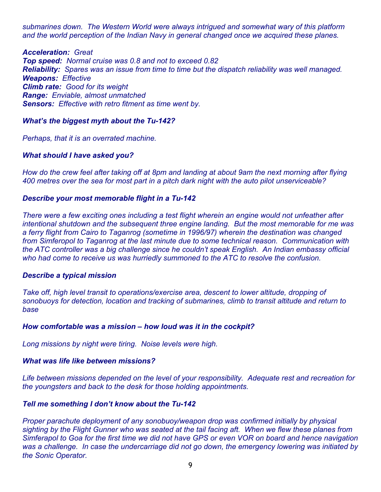*submarines down. The Western World were always intrigued and somewhat wary of this platform and the world perception of the Indian Navy in general changed once we acquired these planes.* 

*Acceleration: Great Top speed: Normal cruise was 0.8 and not to exceed 0.82 Reliability: Spares was an issue from time to time but the dispatch reliability was well managed. Weapons: Effective Climb rate: Good for its weight Range: Enviable, almost unmatched Sensors: Effective with retro fitment as time went by.* 

#### *What's the biggest myth about the Tu-142?*

*Perhaps, that it is an overrated machine.* 

#### *What should I have asked you?*

*How do the crew feel after taking off at 8pm and landing at about 9am the next morning after flying 400 metres over the sea for most part in a pitch dark night with the auto pilot unserviceable?* 

#### *Describe your most memorable flight in a Tu-142*

*There were a few exciting ones including a test flight wherein an engine would not unfeather after intentional shutdown and the subsequent three engine landing. But the most memorable for me was a ferry flight from Cairo to Taganrog (sometime in 1996/97) wherein the destination was changed from Simferopol to Taganrog at the last minute due to some technical reason. Communication with the ATC controller was a big challenge since he couldn't speak English. An Indian embassy official who had come to receive us was hurriedly summoned to the ATC to resolve the confusion.* 

#### *Describe a typical mission*

*Take off, high level transit to operations/exercise area, descent to lower altitude, dropping of sonobuoys for detection, location and tracking of submarines, climb to transit altitude and return to base* 

#### *How comfortable was a mission – how loud was it in the cockpit?*

*Long missions by night were tiring. Noise levels were high.* 

#### *What was life like between missions?*

*Life between missions depended on the level of your responsibility. Adequate rest and recreation for the youngsters and back to the desk for those holding appointments.* 

#### *Tell me something I don't know about the Tu-142*

*Proper parachute deployment of any sonobuoy/weapon drop was confirmed initially by physical sighting by the Flight Gunner who was seated at the tail facing aft. When we flew these planes from Simferapol to Goa for the first time we did not have GPS or even VOR on board and hence navigation was a challenge. In case the undercarriage did not go down, the emergency lowering was initiated by the Sonic Operator.*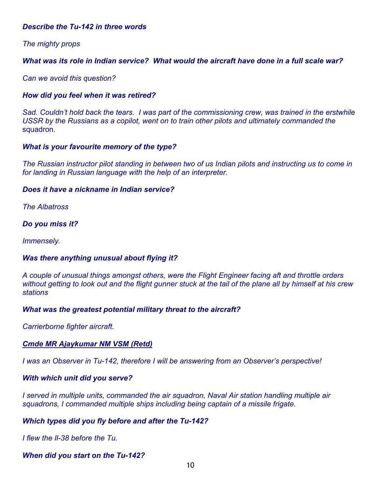## *Describe the Tu-142 in three words*

*The mighty props* 

## *What was its role in Indian service? What would the aircraft have done in a full scale war?*

*Can we avoid this question?* 

## *How did you feel when it was retired?*

Sad. Couldn't hold back the tears. I was part of the commissioning crew, was trained in the erstwhile *USSR by the Russians as a copilot, went on to train other pilots and ultimately commanded the* squadron.

#### *What is your favourite memory of the type?*

*The Russian instructor pilot standing in between two of us Indian pilots and instructing us to come in for landing in Russian language with the help of an interpreter.* 

#### *Does it have a nickname in Indian service?*

*The Albatross* 

#### *Do you miss it?*

*Immensely.* 

## *Was there anything unusual about flying it?*

*A couple of unusual things amongst others, were the Flight Engineer facing aft and throttle orders without getting to look out and the flight gunner stuck at the tail of the plane all by himself at his crew stations* 

## *What was the greatest potential military threat to the aircraft?*

*Carrierborne fighter aircraft.* 

#### *Cmde MR Ajaykumar NM VSM (Retd)*

*I was an Observer in Tu-142, therefore I will be answering from an Observer's perspective!* 

#### *With which unit did you serve?*

*I served in multiple units, commanded the air squadron, Naval Air station handling multiple air squadrons, I commanded multiple ships including being captain of a missile frigate.* 

## *Which types did you fly before and after the Tu-142?*

*I flew the Il-38 before the Tu.* 

## *When did you start on the Tu-142?*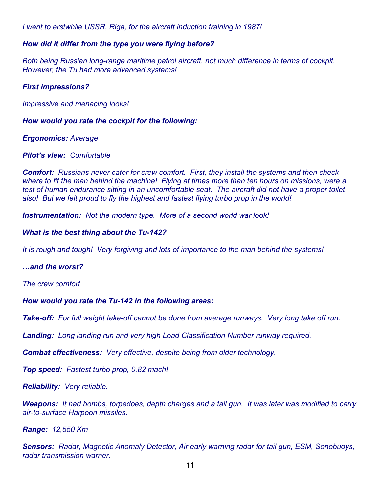*I went to erstwhile USSR, Riga, for the aircraft induction training in 1987!* 

#### *How did it differ from the type you were flying before?*

*Both being Russian long-range maritime patrol aircraft, not much difference in terms of cockpit. However, the Tu had more advanced systems!* 

*First impressions?* 

*Impressive and menacing looks!* 

*How would you rate the cockpit for the following:* 

*Ergonomics: Average*

*Pilot's view: Comfortable*

*Comfort: Russians never cater for crew comfort. First, they install the systems and then check where to fit the man behind the machine! Flying at times more than ten hours on missions, were a test of human endurance sitting in an uncomfortable seat. The aircraft did not have a proper toilet also! But we felt proud to fly the highest and fastest flying turbo prop in the world!* 

*Instrumentation: Not the modern type. More of a second world war look!* 

#### *What is the best thing about the Tu-142?*

*It is rough and tough! Very forgiving and lots of importance to the man behind the systems!* 

*…and the worst?* 

*The crew comfort* 

*How would you rate the Tu-142 in the following areas:* 

*Take-off: For full weight take-off cannot be done from average runways. Very long take off run.* 

*Landing: Long landing run and very high Load Classification Number runway required.* 

*Combat effectiveness: Very effective, despite being from older technology.* 

*Top speed: Fastest turbo prop, 0.82 mach!* 

*Reliability: Very reliable.*

*Weapons: It had bombs, torpedoes, depth charges and a tail gun. It was later was modified to carry air-to-surface Harpoon missiles.* 

*Range: 12,550 Km*

*Sensors: Radar, Magnetic Anomaly Detector, Air early warning radar for tail gun, ESM, Sonobuoys, radar transmission warner.*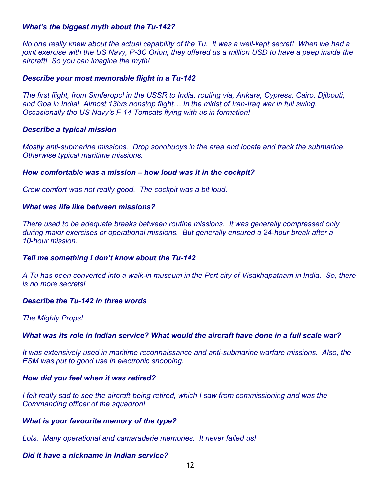## *What's the biggest myth about the Tu-142?*

*No one really knew about the actual capability of the Tu. It was a well-kept secret! When we had a joint exercise with the US Navy, P-3C Orion, they offered us a million USD to have a peep inside the aircraft! So you can imagine the myth!* 

#### *Describe your most memorable flight in a Tu-142*

*The first flight, from Simferopol in the USSR to India, routing via, Ankara, Cypress, Cairo, Djibouti, and Goa in India! Almost 13hrs nonstop flight… In the midst of Iran-Iraq war in full swing. Occasionally the US Navy's F-14 Tomcats flying with us in formation!* 

#### *Describe a typical mission*

*Mostly anti-submarine missions. Drop sonobuoys in the area and locate and track the submarine. Otherwise typical maritime missions.* 

#### *How comfortable was a mission – how loud was it in the cockpit?*

*Crew comfort was not really good. The cockpit was a bit loud.* 

#### *What was life like between missions?*

*There used to be adequate breaks between routine missions. It was generally compressed only during major exercises or operational missions. But generally ensured a 24-hour break after a 10-hour mission.* 

#### *Tell me something I don't know about the Tu-142*

*A Tu has been converted into a walk-in museum in the Port city of Visakhapatnam in India. So, there is no more secrets!* 

#### *Describe the Tu-142 in three words*

*The Mighty Props!* 

#### *What was its role in Indian service? What would the aircraft have done in a full scale war?*

*It was extensively used in maritime reconnaissance and anti-submarine warfare missions. Also, the ESM was put to good use in electronic snooping.* 

#### *How did you feel when it was retired?*

*I felt really sad to see the aircraft being retired, which I saw from commissioning and was the Commanding officer of the squadron!* 

#### *What is your favourite memory of the type?*

*Lots. Many operational and camaraderie memories. It never failed us!* 

#### *Did it have a nickname in Indian service?*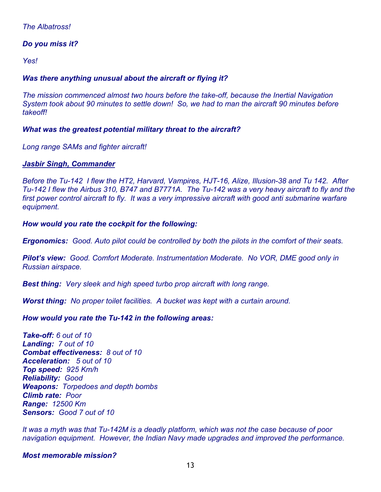## *The Albatross!*

#### *Do you miss it?*

*Yes!* 

## *Was there anything unusual about the aircraft or flying it?*

*The mission commenced almost two hours before the take-off, because the Inertial Navigation System took about 90 minutes to settle down! So, we had to man the aircraft 90 minutes before takeoff!* 

#### *What was the greatest potential military threat to the aircraft?*

*Long range SAMs and fighter aircraft!* 

#### *Jasbir Singh, Commander*

*Before the Tu-142 I flew the HT2, Harvard, Vampires, HJT-16, Alize, Illusion-38 and Tu 142. After Tu-142 I flew the Airbus 310, B747 and B7771A. The Tu-142 was a very heavy aircraft to fly and the first power control aircraft to fly. It was a very impressive aircraft with good anti submarine warfare equipment.* 

#### *How would you rate the cockpit for the following:*

*Ergonomics: Good. Auto pilot could be controlled by both the pilots in the comfort of their seats.* 

*Pilot's view: Good. Comfort Moderate. Instrumentation Moderate. No VOR, DME good only in Russian airspace.* 

*Best thing: Very sleek and high speed turbo prop aircraft with long range.*

*Worst thing: No proper toilet facilities. A bucket was kept with a curtain around.* 

#### *How would you rate the Tu-142 in the following areas:*

*Take-off: 6 out of 10 Landing: 7 out of 10 Combat effectiveness: 8 out of 10 Acceleration: 5 out of 10 Top speed: 925 Km/h Reliability: Good Weapons: Torpedoes and depth bombs Climb rate: Poor Range: 12500 Km Sensors: Good 7 out of 10* 

*It was a myth was that Tu-142M is a deadly platform, which was not the case because of poor navigation equipment. However, the Indian Navy made upgrades and improved the performance.* 

#### *Most memorable mission?*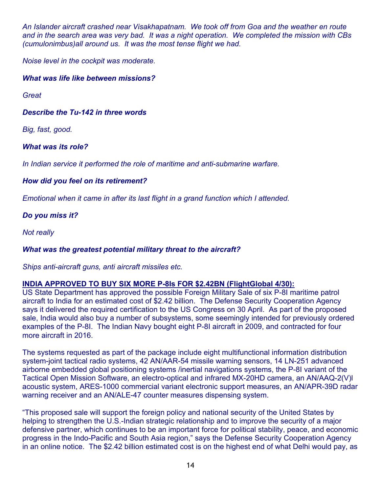*An Islander aircraft crashed near Visakhapatnam. We took off from Goa and the weather en route and in the search area was very bad. It was a night operation. We completed the mission with CBs (cumulonimbus)all around us. It was the most tense flight we had.* 

*Noise level in the cockpit was moderate.* 

*What was life like between missions?* 

*Great* 

*Describe the Tu-142 in three words* 

*Big, fast, good.* 

*What was its role?* 

*In Indian service it performed the role of maritime and anti-submarine warfare.* 

## *How did you feel on its retirement?*

*Emotional when it came in after its last flight in a grand function which I attended.* 

*Do you miss it?* 

*Not really* 

## *What was the greatest potential military threat to the aircraft?*

*Ships anti-aircraft guns, anti aircraft missiles etc.* 

## **INDIA APPROVED TO BUY SIX MORE P-8Is FOR \$2.42BN (FlightGlobal 4/30):**

US State Department has approved the possible Foreign Military Sale of six P-8I maritime patrol aircraft to India for an estimated cost of \$2.42 billion. The Defense Security Cooperation Agency says it delivered the required certification to the US Congress on 30 April. As part of the proposed sale, India would also buy a number of subsystems, some seemingly intended for previously ordered examples of the P-8I. The Indian Navy bought eight P-8I aircraft in 2009, and contracted for four more aircraft in 2016.

The systems requested as part of the package include eight multifunctional information distribution system-joint tactical radio systems, 42 AN/AAR-54 missile warning sensors, 14 LN-251 advanced airborne embedded global positioning systems /inertial navigations systems, the P-8I variant of the Tactical Open Mission Software, an electro-optical and infrared MX-20HD camera, an AN/AAQ-2(V)l acoustic system, ARES-1000 commercial variant electronic support measures, an AN/APR-39D radar warning receiver and an AN/ALE-47 counter measures dispensing system.

"This proposed sale will support the foreign policy and national security of the United States by helping to strengthen the U.S.-Indian strategic relationship and to improve the security of a major defensive partner, which continues to be an important force for political stability, peace, and economic progress in the Indo-Pacific and South Asia region," says the Defense Security Cooperation Agency in an online notice. The \$2.42 billion estimated cost is on the highest end of what Delhi would pay, as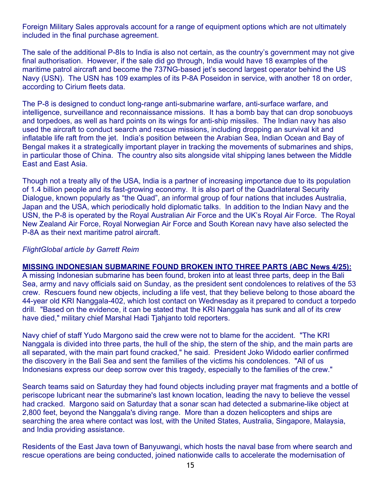Foreign Military Sales approvals account for a range of equipment options which are not ultimately included in the final purchase agreement.

The sale of the additional P-8Is to India is also not certain, as the country's government may not give final authorisation. However, if the sale did go through, India would have 18 examples of the maritime patrol aircraft and become the 737NG-based jet's second largest operator behind the US Navy (USN). The USN has 109 examples of its P-8A Poseidon in service, with another 18 on order, according to Cirium fleets data.

The P-8 is designed to conduct long-range anti-submarine warfare, anti-surface warfare, and intelligence, surveillance and reconnaissance missions. It has a bomb bay that can drop sonobuoys and torpedoes, as well as hard points on its wings for anti-ship missiles. The Indian navy has also used the aircraft to conduct search and rescue missions, including dropping an survival kit and inflatable life raft from the jet. India's position between the Arabian Sea, Indian Ocean and Bay of Bengal makes it a strategically important player in tracking the movements of submarines and ships, in particular those of China. The country also sits alongside vital shipping lanes between the Middle East and East Asia.

Though not a treaty ally of the USA, India is a partner of increasing importance due to its population of 1.4 billion people and its fast-growing economy. It is also part of the Quadrilateral Security Dialogue, known popularly as "the Quad", an informal group of four nations that includes Australia, Japan and the USA, which periodically hold diplomatic talks. In addition to the Indian Navy and the USN, the P-8 is operated by the Royal Australian Air Force and the UK's Royal Air Force. The Royal New Zealand Air Force, Royal Norwegian Air Force and South Korean navy have also selected the P-8A as their next maritime patrol aircraft.

## *FlightGlobal article by Garrett Reim*

**MISSING INDONESIAN SUBMARINE FOUND BROKEN INTO THREE PARTS (ABC News 4/25):**

A missing Indonesian submarine has been found, broken into at least three parts, deep in the Bali Sea, army and navy officials said on Sunday, as the president sent condolences to relatives of the 53 crew. Rescuers found new objects, including a life vest, that they believe belong to those aboard the 44-year old KRI Nanggala-402, which lost contact on Wednesday as it prepared to conduct a torpedo drill. "Based on the evidence, it can be stated that the KRI Nanggala has sunk and all of its crew have died," military chief Marshal Hadi Tjahjanto told reporters.

Navy chief of staff Yudo Margono said the crew were not to blame for the accident. "The KRI Nanggala is divided into three parts, the hull of the ship, the stern of the ship, and the main parts are all separated, with the main part found cracked," he said. President Joko Widodo earlier confirmed the discovery in the Bali Sea and sent the families of the victims his condolences. "All of us Indonesians express our deep sorrow over this tragedy, especially to the families of the crew."

Search teams said on Saturday they had found objects including prayer mat fragments and a bottle of periscope lubricant near the submarine's last known location, leading the navy to believe the vessel had cracked. Margono said on Saturday that a sonar scan had detected a submarine-like object at 2,800 feet, beyond the Nanggala's diving range. More than a dozen helicopters and ships are searching the area where contact was lost, with the United States, Australia, Singapore, Malaysia, and India providing assistance.

Residents of the East Java town of Banyuwangi, which hosts the naval base from where search and rescue operations are being conducted, joined nationwide calls to accelerate the modernisation of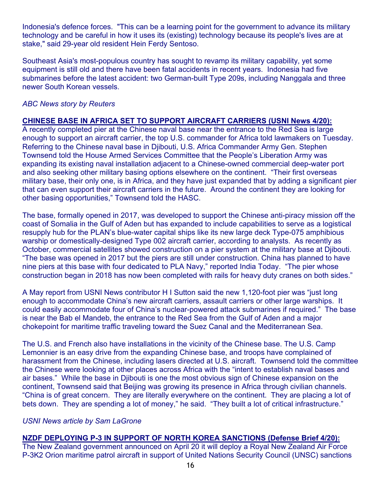Indonesia's defence forces. "This can be a learning point for the government to advance its military technology and be careful in how it uses its (existing) technology because its people's lives are at stake," said 29-year old resident Hein Ferdy Sentoso.

Southeast Asia's most-populous country has sought to revamp its military capability, yet some equipment is still old and there have been fatal accidents in recent years. Indonesia had five submarines before the latest accident: two German-built Type 209s, including Nanggala and three newer South Korean vessels.

## *ABC News story by Reuters*

## **CHINESE BASE IN AFRICA SET TO SUPPORT AIRCRAFT CARRIERS (USNI News 4/20):**

A recently completed pier at the Chinese naval base near the entrance to the Red Sea is large enough to support an aircraft carrier, the top U.S. commander for Africa told lawmakers on Tuesday. Referring to the Chinese naval base in Djibouti, U.S. Africa Commander Army Gen. Stephen Townsend told the House Armed Services Committee that the People's Liberation Army was expanding its existing naval installation adjacent to a Chinese-owned commercial deep-water port and also seeking other military basing options elsewhere on the continent. "Their first overseas military base, their only one, is in Africa, and they have just expanded that by adding a significant pier that can even support their aircraft carriers in the future. Around the continent they are looking for other basing opportunities," Townsend told the HASC.

The base, formally opened in 2017, was developed to support the Chinese anti-piracy mission off the coast of Somalia in the Gulf of Aden but has expanded to include capabilities to serve as a logistical resupply hub for the PLAN's blue-water capital ships like its new large deck Type-075 amphibious warship or domestically-designed Type 002 aircraft carrier, according to analysts. As recently as October, commercial satellites showed construction on a pier system at the military base at Djibouti. "The base was opened in 2017 but the piers are still under construction. China has planned to have nine piers at this base with four dedicated to PLA Navy," reported India Today. "The pier whose construction began in 2018 has now been completed with rails for heavy duty cranes on both sides."

A May report from USNI News contributor H I Sutton said the new 1,120-foot pier was "just long enough to accommodate China's new aircraft carriers, assault carriers or other large warships. It could easily accommodate four of China's nuclear-powered attack submarines if required." The base is near the Bab el Mandeb, the entrance to the Red Sea from the Gulf of Aden and a major chokepoint for maritime traffic traveling toward the Suez Canal and the Mediterranean Sea.

The U.S. and French also have installations in the vicinity of the Chinese base. The U.S. Camp Lemonnier is an easy drive from the expanding Chinese base, and troops have complained of harassment from the Chinese, including lasers directed at U.S. aircraft. Townsend told the committee the Chinese were looking at other places across Africa with the "intent to establish naval bases and air bases." While the base in Djibouti is one the most obvious sign of Chinese expansion on the continent, Townsend said that Beijing was growing its presence in Africa through civilian channels. "China is of great concern. They are literally everywhere on the continent. They are placing a lot of bets down. They are spending a lot of money," he said. "They built a lot of critical infrastructure."

## *USNI News article by Sam LaGrone*

## **NZDF DEPLOYING P-3 IN SUPPORT OF NORTH KOREA SANCTIONS (Defense Brief 4/20):**

The New Zealand government announced on April 20 it will deploy a Royal New Zealand Air Force P-3K2 Orion maritime patrol aircraft in support of United Nations Security Council (UNSC) sanctions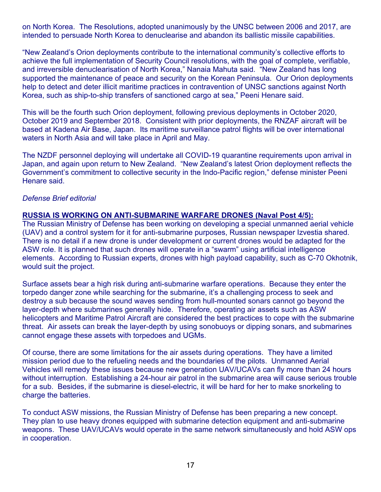on North Korea. The Resolutions, adopted unanimously by the UNSC between 2006 and 2017, are intended to persuade North Korea to denuclearise and abandon its ballistic missile capabilities.

"New Zealand's Orion deployments contribute to the international community's collective efforts to achieve the full implementation of Security Council resolutions, with the goal of complete, verifiable, and irreversible denuclearisation of North Korea," Nanaia Mahuta said. "New Zealand has long supported the maintenance of peace and security on the Korean Peninsula. Our Orion deployments help to detect and deter illicit maritime practices in contravention of UNSC sanctions against North Korea, such as ship-to-ship transfers of sanctioned cargo at sea," Peeni Henare said.

This will be the fourth such Orion deployment, following previous deployments in October 2020, October 2019 and September 2018. Consistent with prior deployments, the RNZAF aircraft will be based at Kadena Air Base, Japan. Its maritime surveillance patrol flights will be over international waters in North Asia and will take place in April and May.

The NZDF personnel deploying will undertake all COVID-19 quarantine requirements upon arrival in Japan, and again upon return to New Zealand. "New Zealand's latest Orion deployment reflects the Government's commitment to collective security in the Indo-Pacific region," defense minister Peeni Henare said.

#### *Defense Brief editorial*

#### **RUSSIA IS WORKING ON ANTI-SUBMARINE WARFARE DRONES (Naval Post 4/5):**

The Russian Ministry of Defense has been working on developing a special unmanned aerial vehicle (UAV) and a control system for it for anti-submarine purposes, Russian newspaper Izvestia shared. There is no detail if a new drone is under development or current drones would be adapted for the ASW role. It is planned that such drones will operate in a "swarm" using artificial intelligence elements. According to Russian experts, drones with high payload capability, such as C-70 Okhotnik, would suit the project.

Surface assets bear a high risk during anti-submarine warfare operations. Because they enter the torpedo danger zone while searching for the submarine, it's a challenging process to seek and destroy a sub because the sound waves sending from hull-mounted sonars cannot go beyond the layer-depth where submarines generally hide. Therefore, operating air assets such as ASW helicopters and Maritime Patrol Aircraft are considered the best practices to cope with the submarine threat. Air assets can break the layer-depth by using sonobuoys or dipping sonars, and submarines cannot engage these assets with torpedoes and UGMs.

Of course, there are some limitations for the air assets during operations. They have a limited mission period due to the refueling needs and the boundaries of the pilots. Unmanned Aerial Vehicles will remedy these issues because new generation UAV/UCAVs can fly more than 24 hours without interruption. Establishing a 24-hour air patrol in the submarine area will cause serious trouble for a sub. Besides, if the submarine is diesel-electric, it will be hard for her to make snorkeling to charge the batteries.

To conduct ASW missions, the Russian Ministry of Defense has been preparing a new concept. They plan to use heavy drones equipped with submarine detection equipment and anti-submarine weapons. These UAV/UCAVs would operate in the same network simultaneously and hold ASW ops in cooperation.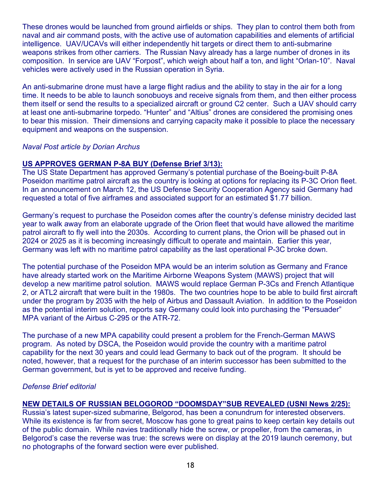These drones would be launched from ground airfields or ships. They plan to control them both from naval and air command posts, with the active use of automation capabilities and elements of artificial intelligence. UAV/UCAVs will either independently hit targets or direct them to anti-submarine weapons strikes from other carriers. The Russian Navy already has a large number of drones in its composition. In service are UAV "Forpost", which weigh about half a ton, and light "Orlan-10". Naval vehicles were actively used in the Russian operation in Syria.

An anti-submarine drone must have a large flight radius and the ability to stay in the air for a long time. It needs to be able to launch sonobuoys and receive signals from them, and then either process them itself or send the results to a specialized aircraft or ground C2 center. Such a UAV should carry at least one anti-submarine torpedo. "Hunter" and "Altius" drones are considered the promising ones to bear this mission. Their dimensions and carrying capacity make it possible to place the necessary equipment and weapons on the suspension.

## *Naval Post article by Dorian Archus*

## **US APPROVES GERMAN P-8A BUY (Defense Brief 3/13):**

The US State Department has approved Germany's potential purchase of the Boeing-built P-8A Poseidon maritime patrol aircraft as the country is looking at options for replacing its P-3C Orion fleet. In an announcement on March 12, the US Defense Security Cooperation Agency said Germany had requested a total of five airframes and associated support for an estimated \$1.77 billion.

Germany's request to purchase the Poseidon comes after the country's defense ministry decided last year to walk away from an elaborate upgrade of the Orion fleet that would have allowed the maritime patrol aircraft to fly well into the 2030s. According to current plans, the Orion will be phased out in 2024 or 2025 as it is becoming increasingly difficult to operate and maintain. Earlier this year, Germany was left with no maritime patrol capability as the last operational P-3C broke down.

The potential purchase of the Poseidon MPA would be an interim solution as Germany and France have already started work on the Maritime Airborne Weapons System (MAWS) project that will develop a new maritime patrol solution. MAWS would replace German P-3Cs and French Atlantique 2, or ATL2 aircraft that were built in the 1980s. The two countries hope to be able to build first aircraft under the program by 2035 with the help of Airbus and Dassault Aviation. In addition to the Poseidon as the potential interim solution, reports say Germany could look into purchasing the "Persuader" MPA variant of the Airbus C-295 or the ATR-72.

The purchase of a new MPA capability could present a problem for the French-German MAWS program. As noted by DSCA, the Poseidon would provide the country with a maritime patrol capability for the next 30 years and could lead Germany to back out of the program. It should be noted, however, that a request for the purchase of an interim successor has been submitted to the German government, but is yet to be approved and receive funding.

## *Defense Brief editorial*

## **NEW DETAILS OF RUSSIAN BELOGOROD "DOOMSDAY"SUB REVEALED (USNI News 2/25):**

Russia's latest super-sized submarine, Belgorod, has been a conundrum for interested observers. While its existence is far from secret, Moscow has gone to great pains to keep certain key details out of the public domain. While navies traditionally hide the screw, or propeller, from the cameras, in Belgorod's case the reverse was true: the screws were on display at the 2019 launch ceremony, but no photographs of the forward section were ever published.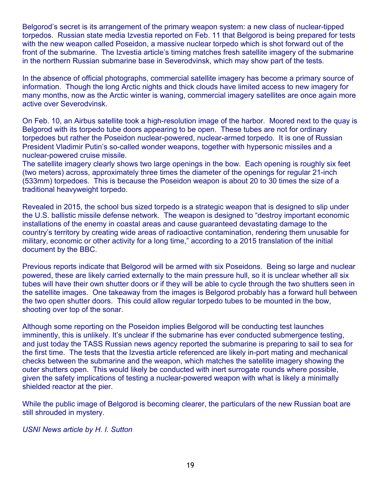Belgorod's secret is its arrangement of the primary weapon system: a new class of nuclear-tipped torpedos. Russian state media Izvestia reported on Feb. 11 that Belgorod is being prepared for tests with the new weapon called Poseidon, a massive nuclear torpedo which is shot forward out of the front of the submarine. The Izvestia article's timing matches fresh satellite imagery of the submarine in the northern Russian submarine base in Severodvinsk, which may show part of the tests.

In the absence of official photographs, commercial satellite imagery has become a primary source of information. Though the long Arctic nights and thick clouds have limited access to new imagery for many months, now as the Arctic winter is waning, commercial imagery satellites are once again more active over Severodvinsk.

On Feb. 10, an Airbus satellite took a high-resolution image of the harbor. Moored next to the quay is Belgorod with its torpedo tube doors appearing to be open. These tubes are not for ordinary torpedoes but rather the Poseidon nuclear-powered, nuclear-armed torpedo. It is one of Russian President Vladimir Putin's so-called wonder weapons, together with hypersonic missiles and a nuclear-powered cruise missile.

The satellite imagery clearly shows two large openings in the bow. Each opening is roughly six feet (two meters) across, approximately three times the diameter of the openings for regular 21-inch (533mm) torpedoes. This is because the Poseidon weapon is about 20 to 30 times the size of a traditional heavyweight torpedo.

Revealed in 2015, the school bus sized torpedo is a strategic weapon that is designed to slip under the U.S. ballistic missile defense network. The weapon is designed to "destroy important economic installations of the enemy in coastal areas and cause guaranteed devastating damage to the country's territory by creating wide areas of radioactive contamination, rendering them unusable for military, economic or other activity for a long time," according to a 2015 translation of the initial document by the BBC.

Previous reports indicate that Belgorod will be armed with six Poseidons. Being so large and nuclear powered, these are likely carried externally to the main pressure hull, so it is unclear whether all six tubes will have their own shutter doors or if they will be able to cycle through the two shutters seen in the satellite images. One takeaway from the images is Belgorod probably has a forward hull between the two open shutter doors. This could allow regular torpedo tubes to be mounted in the bow, shooting over top of the sonar.

Although some reporting on the Poseidon implies Belgorod will be conducting test launches imminently, this is unlikely. It's unclear if the submarine has ever conducted submergence testing, and just today the TASS Russian news agency reported the submarine is preparing to sail to sea for the first time. The tests that the Izvestia article referenced are likely in-port mating and mechanical checks between the submarine and the weapon, which matches the satellite imagery showing the outer shutters open. This would likely be conducted with inert surrogate rounds where possible, given the safety implications of testing a nuclear-powered weapon with what is likely a minimally shielded reactor at the pier.

While the public image of Belgorod is becoming clearer, the particulars of the new Russian boat are still shrouded in mystery.

*USNI News article by H. I. Sutton*